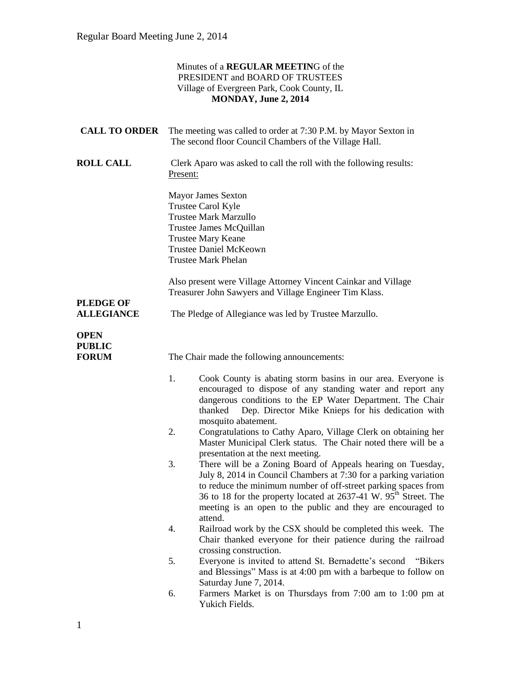### Minutes of a **REGULAR MEETIN**G of the PRESIDENT and BOARD OF TRUSTEES Village of Evergreen Park, Cook County, IL **MONDAY, June 2, 2014 CALL TO ORDER** The meeting was called to order at 7:30 P.M. by Mayor Sexton in The second floor Council Chambers of the Village Hall. **ROLL CALL** Clerk Aparo was asked to call the roll with the following results: Present: Mayor James Sexton Trustee Carol Kyle Trustee Mark Marzullo Trustee James McQuillan Trustee Mary Keane Trustee Daniel McKeown Trustee Mark Phelan Also present were Village Attorney Vincent Cainkar and Village Treasurer John Sawyers and Village Engineer Tim Klass. **PLEDGE OF ALLEGIANCE** The Pledge of Allegiance was led by Trustee Marzullo. **OPEN PUBLIC FORUM** The Chair made the following announcements: 1. Cook County is abating storm basins in our area. Everyone is encouraged to dispose of any standing water and report any dangerous conditions to the EP Water Department. The Chair thanked Dep. Director Mike Knieps for his dedication with mosquito abatement. 2. Congratulations to Cathy Aparo, Village Clerk on obtaining her Master Municipal Clerk status. The Chair noted there will be a presentation at the next meeting. 3. There will be a Zoning Board of Appeals hearing on Tuesday, July 8, 2014 in Council Chambers at 7:30 for a parking variation to reduce the minimum number of off-street parking spaces from 36 to 18 for the property located at  $2637-41$  W.  $95<sup>th</sup>$  Street. The meeting is an open to the public and they are encouraged to attend. 4. Railroad work by the CSX should be completed this week. The Chair thanked everyone for their patience during the railroad crossing construction. 5. Everyone is invited to attend St. Bernadette's second "Bikers and Blessings" Mass is at 4:00 pm with a barbeque to follow on Saturday June 7, 2014. 6. Farmers Market is on Thursdays from 7:00 am to 1:00 pm at Yukich Fields.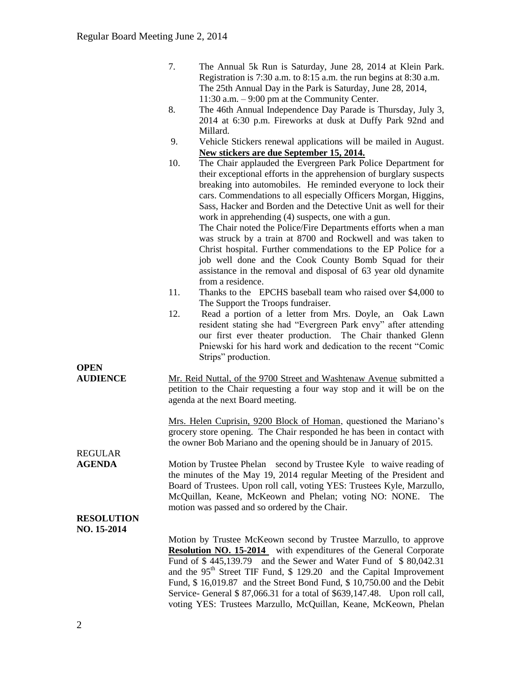|                                  | 7.                                                                                                                                                                                                                                                                                                                                        | The Annual 5k Run is Saturday, June 28, 2014 at Klein Park.<br>Registration is 7:30 a.m. to 8:15 a.m. the run begins at 8:30 a.m.<br>The 25th Annual Day in the Park is Saturday, June 28, 2014,                                                                                                                                                                                                                                                                                                                                                                                                                                                                                    |
|----------------------------------|-------------------------------------------------------------------------------------------------------------------------------------------------------------------------------------------------------------------------------------------------------------------------------------------------------------------------------------------|-------------------------------------------------------------------------------------------------------------------------------------------------------------------------------------------------------------------------------------------------------------------------------------------------------------------------------------------------------------------------------------------------------------------------------------------------------------------------------------------------------------------------------------------------------------------------------------------------------------------------------------------------------------------------------------|
|                                  | 8.                                                                                                                                                                                                                                                                                                                                        | 11:30 a.m. $-9:00$ pm at the Community Center.<br>The 46th Annual Independence Day Parade is Thursday, July 3,<br>2014 at 6:30 p.m. Fireworks at dusk at Duffy Park 92nd and<br>Millard.                                                                                                                                                                                                                                                                                                                                                                                                                                                                                            |
|                                  | 9.                                                                                                                                                                                                                                                                                                                                        | Vehicle Stickers renewal applications will be mailed in August.                                                                                                                                                                                                                                                                                                                                                                                                                                                                                                                                                                                                                     |
|                                  | 10.                                                                                                                                                                                                                                                                                                                                       | New stickers are due September 15, 2014.<br>The Chair applauded the Evergreen Park Police Department for                                                                                                                                                                                                                                                                                                                                                                                                                                                                                                                                                                            |
|                                  |                                                                                                                                                                                                                                                                                                                                           | their exceptional efforts in the apprehension of burglary suspects<br>breaking into automobiles. He reminded everyone to lock their<br>cars. Commendations to all especially Officers Morgan, Higgins,<br>Sass, Hacker and Borden and the Detective Unit as well for their<br>work in apprehending (4) suspects, one with a gun.<br>The Chair noted the Police/Fire Departments efforts when a man<br>was struck by a train at 8700 and Rockwell and was taken to<br>Christ hospital. Further commendations to the EP Police for a<br>job well done and the Cook County Bomb Squad for their<br>assistance in the removal and disposal of 63 year old dynamite<br>from a residence. |
|                                  | 11.                                                                                                                                                                                                                                                                                                                                       | Thanks to the EPCHS baseball team who raised over \$4,000 to                                                                                                                                                                                                                                                                                                                                                                                                                                                                                                                                                                                                                        |
|                                  | 12.                                                                                                                                                                                                                                                                                                                                       | The Support the Troops fundraiser.<br>Read a portion of a letter from Mrs. Doyle, an Oak Lawn<br>resident stating she had "Evergreen Park envy" after attending<br>our first ever theater production. The Chair thanked Glenn<br>Pniewski for his hard work and dedication to the recent "Comic<br>Strips" production.                                                                                                                                                                                                                                                                                                                                                              |
| <b>OPEN</b><br><b>AUDIENCE</b>   | Mr. Reid Nuttal, of the 9700 Street and Washtenaw Avenue submitted a<br>petition to the Chair requesting a four way stop and it will be on the<br>agenda at the next Board meeting.                                                                                                                                                       |                                                                                                                                                                                                                                                                                                                                                                                                                                                                                                                                                                                                                                                                                     |
|                                  |                                                                                                                                                                                                                                                                                                                                           | Mrs. Helen Cuprisin, 9200 Block of Homan, questioned the Mariano's<br>grocery store opening. The Chair responded he has been in contact with<br>the owner Bob Mariano and the opening should be in January of 2015.                                                                                                                                                                                                                                                                                                                                                                                                                                                                 |
| <b>REGULAR</b><br><b>AGENDA</b>  | Motion by Trustee Phelan second by Trustee Kyle to waive reading of<br>the minutes of the May 19, 2014 regular Meeting of the President and<br>Board of Trustees. Upon roll call, voting YES: Trustees Kyle, Marzullo,<br>McQuillan, Keane, McKeown and Phelan; voting NO: NONE.<br>The<br>motion was passed and so ordered by the Chair. |                                                                                                                                                                                                                                                                                                                                                                                                                                                                                                                                                                                                                                                                                     |
| <b>RESOLUTION</b><br>NO. 15-2014 |                                                                                                                                                                                                                                                                                                                                           |                                                                                                                                                                                                                                                                                                                                                                                                                                                                                                                                                                                                                                                                                     |
|                                  |                                                                                                                                                                                                                                                                                                                                           | Motion by Trustee McKeown second by Trustee Marzullo, to approve<br><b>Resolution NO. 15-2014</b> with expenditures of the General Corporate<br>and the Sewer and Water Fund of \$80,042.31<br>Fund of \$445,139.79<br>and the 95 <sup>th</sup> Street TIF Fund, \$ 129.20 and the Capital Improvement<br>Fund, \$16,019.87 and the Street Bond Fund, \$10,750.00 and the Debit<br>Service- General \$ 87,066.31 for a total of \$639,147.48. Upon roll call,                                                                                                                                                                                                                       |

voting YES: Trustees Marzullo, McQuillan, Keane, McKeown, Phelan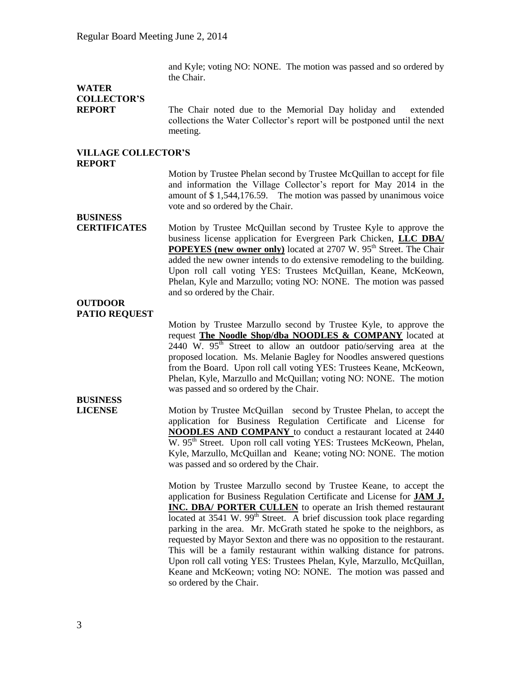and Kyle; voting NO: NONE. The motion was passed and so ordered by the Chair.

## **WATER COLLECTOR'S**

**REPORT** The Chair noted due to the Memorial Day holiday and extended collections the Water Collector's report will be postponed until the next meeting.

#### **VILLAGE COLLECTOR'S REPORT**

Motion by Trustee Phelan second by Trustee McQuillan to accept for file and information the Village Collector's report for May 2014 in the amount of \$ 1,544,176.59. The motion was passed by unanimous voice vote and so ordered by the Chair.

## **BUSINESS**

**CERTIFICATES** Motion by Trustee McQuillan second by Trustee Kyle to approve the business license application for Evergreen Park Chicken, **LLC DBA/ POPEYES (new owner only)** located at 2707 W. 95<sup>th</sup> Street. The Chair added the new owner intends to do extensive remodeling to the building. Upon roll call voting YES: Trustees McQuillan, Keane, McKeown, Phelan, Kyle and Marzullo; voting NO: NONE. The motion was passed and so ordered by the Chair.

### **OUTDOOR PATIO REQUEST**

Motion by Trustee Marzullo second by Trustee Kyle, to approve the request **The Noodle Shop/dba NOODLES & COMPANY** located at  $2440 \text{ W. } 95^{\text{th}}$  Street to allow an outdoor patio/serving area at the proposed location. Ms. Melanie Bagley for Noodles answered questions from the Board. Upon roll call voting YES: Trustees Keane, McKeown, Phelan, Kyle, Marzullo and McQuillan; voting NO: NONE. The motion was passed and so ordered by the Chair.

# **BUSINESS**

**LICENSE** Motion by Trustee McQuillan second by Trustee Phelan, to accept the application for Business Regulation Certificate and License for **NOODLES AND COMPANY** to conduct a restaurant located at 2440 W. 95<sup>th</sup> Street. Upon roll call voting YES: Trustees McKeown, Phelan, Kyle, Marzullo, McQuillan and Keane; voting NO: NONE. The motion was passed and so ordered by the Chair.

> Motion by Trustee Marzullo second by Trustee Keane, to accept the application for Business Regulation Certificate and License for **JAM J. INC. DBA/ PORTER CULLEN** to operate an Irish themed restaurant located at 3541 W. 99<sup>th</sup> Street. A brief discussion took place regarding parking in the area. Mr. McGrath stated he spoke to the neighbors, as requested by Mayor Sexton and there was no opposition to the restaurant. This will be a family restaurant within walking distance for patrons. Upon roll call voting YES: Trustees Phelan, Kyle, Marzullo, McQuillan, Keane and McKeown; voting NO: NONE. The motion was passed and so ordered by the Chair.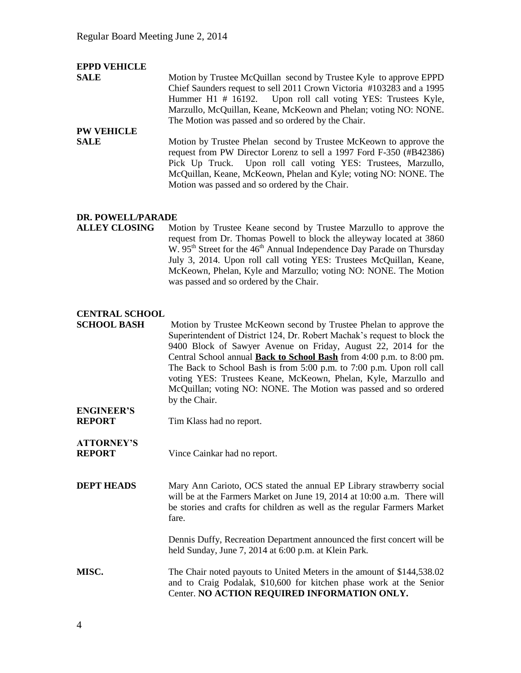| <b>EPPD VEHICLE</b> |                                                                                                                                                                                                                                                                                                                                 |
|---------------------|---------------------------------------------------------------------------------------------------------------------------------------------------------------------------------------------------------------------------------------------------------------------------------------------------------------------------------|
| <b>SALE</b>         | Motion by Trustee McQuillan second by Trustee Kyle to approve EPPD                                                                                                                                                                                                                                                              |
|                     | Chief Saunders request to sell 2011 Crown Victoria #103283 and a 1995                                                                                                                                                                                                                                                           |
|                     | Hummer H1 # 16192. Upon roll call voting YES: Trustees Kyle,                                                                                                                                                                                                                                                                    |
|                     | Marzullo, McQuillan, Keane, McKeown and Phelan; voting NO: NONE.                                                                                                                                                                                                                                                                |
|                     | The Motion was passed and so ordered by the Chair.                                                                                                                                                                                                                                                                              |
| <b>PW VEHICLE</b>   |                                                                                                                                                                                                                                                                                                                                 |
| <b>SALE</b>         | Motion by Trustee Phelan second by Trustee McKeown to approve the<br>request from PW Director Lorenz to sell a 1997 Ford F-350 (#B42386)<br>Pick Up Truck. Upon roll call voting YES: Trustees, Marzullo,<br>McQuillan, Keane, McKeown, Phelan and Kyle; voting NO: NONE. The<br>Motion was passed and so ordered by the Chair. |

### **DR. POWELL/PARADE**

**ALLEY CLOSING** Motion by Trustee Keane second by Trustee Marzullo to approve the request from Dr. Thomas Powell to block the alleyway located at 3860  $W. 95<sup>th</sup>$  Street for the 46<sup>th</sup> Annual Independence Day Parade on Thursday July 3, 2014. Upon roll call voting YES: Trustees McQuillan, Keane, McKeown, Phelan, Kyle and Marzullo; voting NO: NONE. The Motion was passed and so ordered by the Chair.

### **CENTRAL SCHOOL**

**SCHOOL BASH** Motion by Trustee McKeown second by Trustee Phelan to approve the Superintendent of District 124, Dr. Robert Machak's request to block the 9400 Block of Sawyer Avenue on Friday, August 22, 2014 for the Central School annual **Back to School Bash** from 4:00 p.m. to 8:00 pm. The Back to School Bash is from 5:00 p.m. to 7:00 p.m. Upon roll call voting YES: Trustees Keane, McKeown, Phelan, Kyle, Marzullo and McQuillan; voting NO: NONE. The Motion was passed and so ordered by the Chair.

### **ENGINEER'S REPORT** Tim Klass had no report.

- **ATTORNEY'S REPORT** Vince Cainkar had no report.
- **DEPT HEADS** Mary Ann Carioto, OCS stated the annual EP Library strawberry social will be at the Farmers Market on June 19, 2014 at 10:00 a.m. There will be stories and crafts for children as well as the regular Farmers Market fare.

Dennis Duffy, Recreation Department announced the first concert will be held Sunday, June 7, 2014 at 6:00 p.m. at Klein Park.

**MISC.** The Chair noted payouts to United Meters in the amount of \$144,538.02 and to Craig Podalak, \$10,600 for kitchen phase work at the Senior Center. **NO ACTION REQUIRED INFORMATION ONLY.**